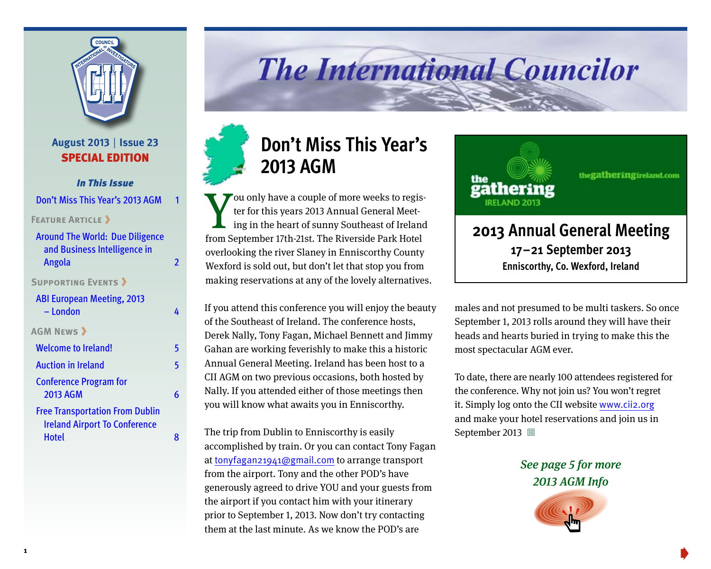

## **August 2013** | **Issue 23** SPECIAL EDITION

## *In This Issue*

Don't Miss This Year's 2013 AGM

**FEATURE ARTICLE** 

| <b>Around The World: Due Diligence</b> |   |
|----------------------------------------|---|
| and Business Intelligence in           |   |
| Angola                                 | 2 |
| <b>SUPPORTING EVENTS &gt;</b>          |   |
| <b>ABI European Meeting, 2013</b>      |   |
| - London                               | Δ |
| <b>AGM NEWS &gt;</b>                   |   |
| <b>Welcome to Ireland!</b>             | 5 |
| <b>Auction in Ireland</b>              | 5 |
| <b>Conference Program for</b>          |   |
| 2013 AGM                               | 6 |
| <b>Free Transportation From Dublin</b> |   |
| <b>Ireland Airport To Conference</b>   |   |
| <b>Hotel</b>                           | я |

# **The International Councilor**



thegatheringireland.com

# **2013 Annual General Meeting 17–21 September 2013 Enniscorthy, Co. Wexford, Ireland**

If you attend this conference you will enjoy the beauty of the Southeast of Ireland. The conference hosts, Derek Nally, Tony Fagan, Michael Bennett and Jimmy Gahan are working feverishly to make this a historic Annual General Meeting. Ireland has been host to a CII AGM on two previous occasions, both hosted by Nally. If you attended either of those meetings then you will know what awaits you in Enniscorthy.

ing in the heart of sunny Southeast of Ireland

from September 17th-21st. The Riverside Park Hotel overlooking the river Slaney in Enniscorthy County Wexford is sold out, but don't let that stop you from making reservations at any of the lovely alternatives.

**2013 AGM**

The trip from Dublin to Enniscorthy is easily accomplished by train. Or you can contact Tony Fagan at tonyfagan21941@gmail.com to arrange transport from the airport. Tony and the other POD's have generously agreed to drive YOU and your guests from the airport if you contact him with your itinerary prior to September 1, 2013. Now don't try contacting them at the last minute. As we know the POD's are

males and not presumed to be multi taskers. So once September 1, 2013 rolls around they will have their heads and hearts buried in trying to make this the most spectacular AGM ever.

To date, there are nearly 100 attendees registered for the conference. Why not join us? You won't regret it. Simply log onto the CII website www.cii2.org and make your hotel reservations and join us in September 2013 回

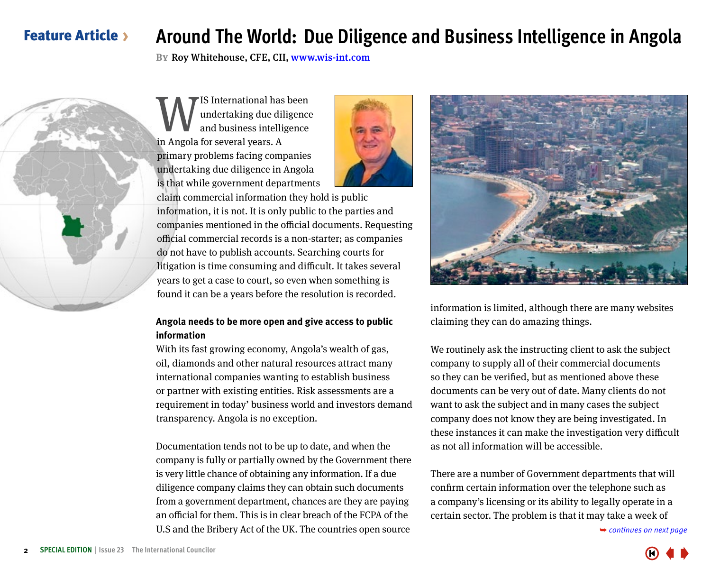# <span id="page-1-0"></span>Feature Article

# **Around The World: Due Diligence and Business Intelligence in Angola**

**By**Roy Whitehouse, CFE, CII, www.wis-int.com



**W**IS International has been<br>and business intelligence<br>in Angola for several vears A undertaking due diligence and business intelligence in Angola for several years. A primary problems facing companies undertaking due diligence in Angola is that while government departments



claim commercial information they hold is public information, it is not. It is only public to the parties and companies mentioned in the official documents. Requesting official commercial records is a non-starter; as companies do not have to publish accounts. Searching courts for litigation is time consuming and difficult. It takes several years to get a case to court, so even when something is found it can be a years before the resolution is recorded.

## **Angola needs to be more open and give access to public information**

With its fast growing economy, Angola's wealth of gas, oil, diamonds and other natural resources attract many international companies wanting to establish business or partner with existing entities. Risk assessments are a requirement in today' business world and investors demand transparency. Angola is no exception.

Documentation tends not to be up to date, and when the company is fully or partially owned by the Government there is very little chance of obtaining any information. If a due diligence company claims they can obtain such documents from a government department, chances are they are paying an official for them. This is in clear breach of the FCPA of the U.S and the Bribery Act of the UK. The countries open source



information is limited, although there are many websites claiming they can do amazing things.

We routinely ask the instructing client to ask the subject company to supply all of their commercial documents so they can be verified, but as mentioned above these documents can be very out of date. Many clients do not want to ask the subject and in many cases the subject company does not know they are being investigated. In these instances it can make the investigation very difficult as not all information will be accessible.

There are a number of Government departments that will confirm certain information over the telephone such as a company's licensing or its ability to legally operate in a certain sector. The problem is that it may take a week of

➥ *[continues on next page](#page-2-0)*

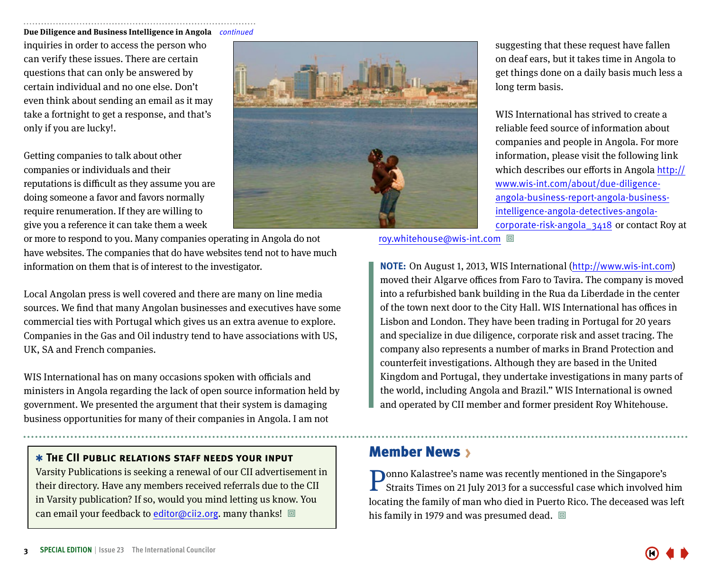#### <span id="page-2-0"></span>**Due Diligence and Business Intelligence in Angola** *continued*

inquiries in order to access the person who can verify these issues. There are certain questions that can only be answered by certain individual and no one else. Don't even think about sending an email as it may take a fortnight to get a response, and that's only if you are lucky!.

Getting companies to talk about other companies or individuals and their reputations is difficult as they assume you are doing someone a favor and favors normally require renumeration. If they are willing to give you a reference it can take them a week



or more to respond to you. Many companies operating in Angola do not have websites. The companies that do have websites tend not to have much information on them that is of interest to the investigator.

Local Angolan press is well covered and there are many on line media sources. We find that many Angolan businesses and executives have some commercial ties with Portugal which gives us an extra avenue to explore. Companies in the Gas and Oil industry tend to have associations with US, UK, SA and French companies.

WIS International has on many occasions spoken with officials and ministers in Angola regarding the lack of open source information held by government. We presented the argument that their system is damaging business opportunities for many of their companies in Angola. I am not

### ✱ **The CII public relations staff needs your input**

Varsity Publications is seeking a renewal of our CII advertisement in their directory. Have any members received referrals due to the CII in Varsity publication? If so, would you mind letting us know. You can email your feedback to editor@cii2.org. many thanks!  $\Box$ 

suggesting that these request have fallen on deaf ears, but it takes time in Angola to get things done on a daily basis much less a long term basis.

WIS International has strived to create a reliable feed source of information about companies and people in Angola. For more information, please visit the following link which describes our efforts in Angola [http://](http://www.wis-int.com/about/due-diligence-angola-business-report-angola-business-intelligence-angola-detectives-angola-corporate-risk-angola_3418) [www.wis-int.com/about/due-diligence](http://www.wis-int.com/about/due-diligence-angola-business-report-angola-business-intelligence-angola-detectives-angola-corporate-risk-angola_3418)[angola-business-report-angola-business](http://www.wis-int.com/about/due-diligence-angola-business-report-angola-business-intelligence-angola-detectives-angola-corporate-risk-angola_3418)[intelligence-angola-detectives-angola](http://www.wis-int.com/about/due-diligence-angola-business-report-angola-business-intelligence-angola-detectives-angola-corporate-risk-angola_3418)[corporate-risk-angola\\_3418](http://www.wis-int.com/about/due-diligence-angola-business-report-angola-business-intelligence-angola-detectives-angola-corporate-risk-angola_3418) or contact Roy at

roy.whitehouse@wis-int.com 回

**NOTE:** On August 1, 2013, WIS International (http://www.wis-int.com) moved their Algarve offices from Faro to Tavira. The company is moved into a refurbished bank building in the Rua da Liberdade in the center of the town next door to the City Hall. WIS International has offices in Lisbon and London. They have been trading in Portugal for 20 years and specialize in due diligence, corporate risk and asset tracing. The company also represents a number of marks in Brand Protection and counterfeit investigations. Although they are based in the United Kingdom and Portugal, they undertake investigations in many parts of the world, including Angola and Brazil." WIS International is owned and operated by CII member and former president Roy Whitehouse.

## **Member News >**

Ponno Kalastree's name was recently mentioned in the Singapore's Straits Times on 21 July 2013 for a successful case which involved him locating the family of man who died in Puerto Rico. The deceased was left his family in 1979 and was presumed dead.  $\Box$ 

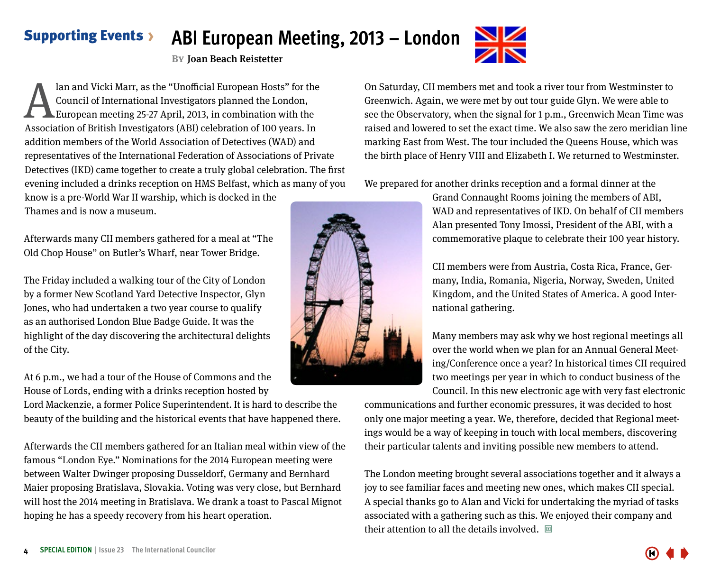### <span id="page-3-0"></span>**ABI European Meeting, 2013 – London** Supporting Events

**By**Joan Beach Reistetter

Ian and Vicki Marr, as the "Unofficial European Hosts" for the<br>Council of International Investigators planned the London,<br>European meeting 25-27 April, 2013, in combination with the<br>Association of British Investigators (AB Council of International Investigators planned the London, European meeting 25-27 April, 2013, in combination with the Association of British Investigators (ABI) celebration of 100 years. In addition members of the World Association of Detectives (WAD) and representatives of the International Federation of Associations of Private Detectives (IKD) came together to create a truly global celebration. The first evening included a drinks reception on HMS Belfast, which as many of you know is a pre-World War II warship, which is docked in the Thames and is now a museum.

Afterwards many CII members gathered for a meal at "The Old Chop House" on Butler's Wharf, near Tower Bridge.

The Friday included a walking tour of the City of London by a former New Scotland Yard Detective Inspector, Glyn Jones, who had undertaken a two year course to qualify as an authorised London Blue Badge Guide. It was the highlight of the day discovering the architectural delights of the City.

At 6 p.m., we had a tour of the House of Commons and the House of Lords, ending with a drinks reception hosted by

Lord Mackenzie, a former Police Superintendent. It is hard to describe the beauty of the building and the historical events that have happened there.

Afterwards the CII members gathered for an Italian meal within view of the famous "London Eye." Nominations for the 2014 European meeting were between Walter Dwinger proposing Dusseldorf, Germany and Bernhard Maier proposing Bratislava, Slovakia. Voting was very close, but Bernhard will host the 2014 meeting in Bratislava. We drank a toast to Pascal Mignot hoping he has a speedy recovery from his heart operation.

On Saturday, CII members met and took a river tour from Westminster to Greenwich. Again, we were met by out tour guide Glyn. We were able to see the Observatory, when the signal for 1 p.m., Greenwich Mean Time was raised and lowered to set the exact time. We also saw the zero meridian line marking East from West. The tour included the Queens House, which was the birth place of Henry VIII and Elizabeth I. We returned to Westminster.

We prepared for another drinks reception and a formal dinner at the

Grand Connaught Rooms joining the members of ABI, WAD and representatives of IKD. On behalf of CII members Alan presented Tony Imossi, President of the ABI, with a commemorative plaque to celebrate their 100 year history.

CII members were from Austria, Costa Rica, France, Germany, India, Romania, Nigeria, Norway, Sweden, United Kingdom, and the United States of America. A good International gathering.

Many members may ask why we host regional meetings all over the world when we plan for an Annual General Meeting/Conference once a year? In historical times CII required two meetings per year in which to conduct business of the Council. In this new electronic age with very fast electronic

communications and further economic pressures, it was decided to host only one major meeting a year. We, therefore, decided that Regional meetings would be a way of keeping in touch with local members, discovering their particular talents and inviting possible new members to attend.

The London meeting brought several associations together and it always a joy to see familiar faces and meeting new ones, which makes CII special. A special thanks go to Alan and Vicki for undertaking the myriad of tasks associated with a gathering such as this. We enjoyed their company and their attention to all the details involved.  $\Box$ 





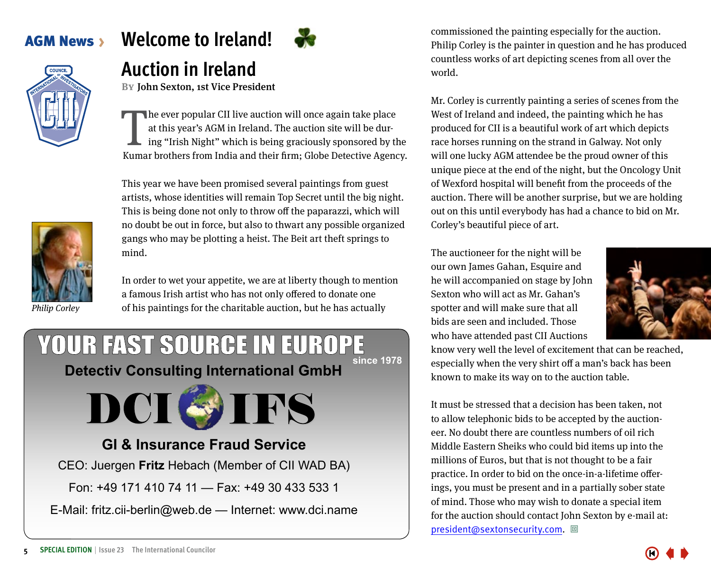Philip Corley

# <span id="page-4-0"></span>AGM News **Welcome to Ireland!**

# **Auction in Ireland**

**BY** John Sexton, 1st Vice President

The ever popular CII live auction will once again take place<br>at this year's AGM in Ireland. The auction site will be dur-<br>ing "Irish Night" which is being graciously sponsored by the<br>Kumar brothers from India and their fir he ever popular CII live auction will once again take place at this year's AGM in Ireland. The auction site will be during "Irish Night" which is being graciously sponsored by the

This year we have been promised several paintings from guest artists, whose identities will remain Top Secret until the big night. This is being done not only to throw off the paparazzi, which will no doubt be out in force, but also to thwart any possible organized gangs who may be plotting a heist. The Beit art theft springs to mind.

In order to wet your appetite, we are at liberty though to mention a famous Irish artist who has not only offered to donate one of his paintings for the charitable auction, but he has actually

## YOUR FAST SOURCE IN EUROPE **since 1978 [Detectiv Consulting International GmbH](http://www.dci.name/)**



# **GI & Insurance Fraud Service**

CEO: Juergen **Fritz** Hebach (Member of CII WAD BA)

Fon: +49 171 410 74 11 — Fax: +49 30 433 533 1

E-Mail: fritz.cii-berlin@web.de — Internet: www.dci.name

commissioned the painting especially for the auction. Philip Corley is the painter in question and he has produced countless works of art depicting scenes from all over the world.

Mr. Corley is currently painting a series of scenes from the West of Ireland and indeed, the painting which he has produced for CII is a beautiful work of art which depicts race horses running on the strand in Galway. Not only will one lucky AGM attendee be the proud owner of this unique piece at the end of the night, but the Oncology Unit of Wexford hospital will benefit from the proceeds of the auction. There will be another surprise, but we are holding out on this until everybody has had a chance to bid on Mr. Corley's beautiful piece of art.

The auctioneer for the night will be our own James Gahan, Esquire and he will accompanied on stage by John Sexton who will act as Mr. Gahan's spotter and will make sure that all bids are seen and included. Those who have attended past CII Auctions



know very well the level of excitement that can be reached, especially when the very shirt off a man's back has been known to make its way on to the auction table.

It must be stressed that a decision has been taken, not to allow telephonic bids to be accepted by the auctioneer. No doubt there are countless numbers of oil rich Middle Eastern Sheiks who could bid items up into the millions of Euros, but that is not thought to be a fair practice. In order to bid on the once-in-a-lifetime offerings, you must be present and in a partially sober state of mind. Those who may wish to donate a special item for the auction should contact John Sexton by e-mail at: president@sextonsecurity.com. 回

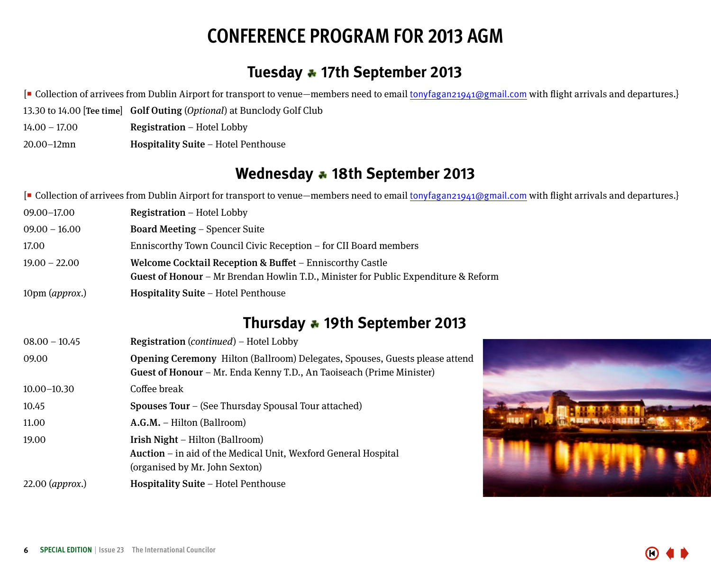# **CONFERENCE PROGRAM FOR 2013 AGM**

# **Tuesday 17th September 2013**

<span id="page-5-0"></span>[ Collection of arrivees from Dublin Airport for transport to venue—members need to email tonyfagan21941@gmail.com with flight arrivals and departures.}

- 13.30 to 14.00 [Tee time] Golf Outing (Optional) at Bunclody Golf Club
- 14.00 17.00 Registration Hotel Lobby
- 20.00–12mn Hospitality Suite Hotel Penthouse

# **Wednesday 18th September 2013**

[ Collection of arrivees from Dublin Airport for transport to venue—members need to email tonyfagan21941@gmail.com with flight arrivals and departures.}

- 09.00–17.00 Registration Hotel Lobby 09.00 – 16.00 Board Meeting – Spencer Suite 17.00 Enniscorthy Town Council Civic Reception – for CII Board members 19.00 – 22.00 Welcome Cocktail Reception & Buffet – Enniscorthy Castle Guest of Honour – Mr Brendan Howlin T.D., Minister for Public Expenditure & Reform
- 10pm (approx.) **Hospitality Suite** Hotel Penthouse

# **Thursday 19th September 2013**

| $08.00 - 10.45$ | Registration (continued) - Hotel Lobby                                                                                                              |  |  |
|-----------------|-----------------------------------------------------------------------------------------------------------------------------------------------------|--|--|
| 09.00           | Opening Ceremony Hilton (Ballroom) Delegates, Spouses, Guests please attend<br>Guest of Honour - Mr. Enda Kenny T.D., An Taoiseach (Prime Minister) |  |  |
| $10.00 - 10.30$ | Coffee break                                                                                                                                        |  |  |
| 10.45           | <b>Spouses Tour</b> – (See Thursday Spousal Tour attached)                                                                                          |  |  |
| 11.00           | $A.G.M. - Hilton (Ballroom)$                                                                                                                        |  |  |
| 19.00           | <b>Irish Night</b> – Hilton (Ballroom)<br>Auction – in aid of the Medical Unit, Wexford General Hospital<br>(organised by Mr. John Sexton)          |  |  |
| 22.00 (approx.) | <b>Hospitality Suite – Hotel Penthouse</b>                                                                                                          |  |  |

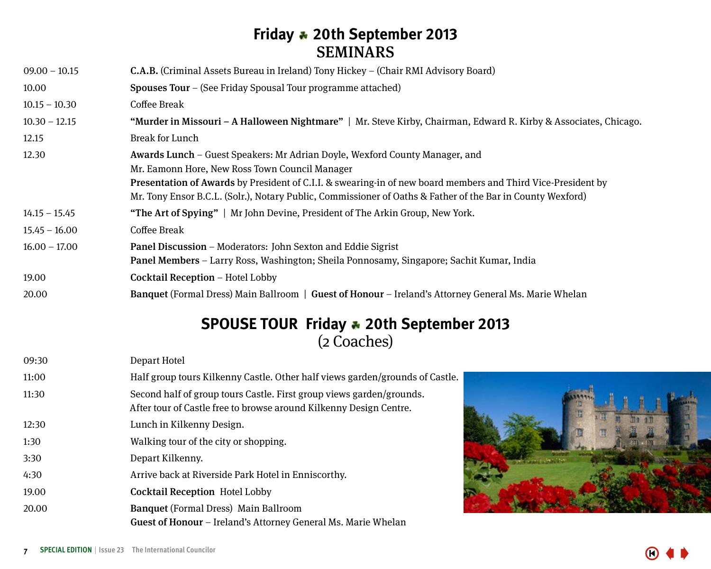# **Friday 20th September 2013** SEMINARS

| $09.00 - 10.15$ | <b>C.A.B.</b> (Criminal Assets Bureau in Ireland) Tony Hickey – (Chair RMI Advisory Board)                       |  |  |  |
|-----------------|------------------------------------------------------------------------------------------------------------------|--|--|--|
| 10.00           | <b>Spouses Tour</b> – (See Friday Spousal Tour programme attached)                                               |  |  |  |
| $10.15 - 10.30$ | Coffee Break                                                                                                     |  |  |  |
| $10.30 - 12.15$ | "Murder in Missouri – A Halloween Nightmare"   Mr. Steve Kirby, Chairman, Edward R. Kirby & Associates, Chicago. |  |  |  |
| 12.15           | Break for Lunch                                                                                                  |  |  |  |
| 12.30           | Awards Lunch – Guest Speakers: Mr Adrian Doyle, Wexford County Manager, and                                      |  |  |  |
|                 | Mr. Eamonn Hore, New Ross Town Council Manager                                                                   |  |  |  |
|                 | Presentation of Awards by President of C.I.I. & swearing-in of new board members and Third Vice-President by     |  |  |  |
|                 | Mr. Tony Ensor B.C.L. (Solr.), Notary Public, Commissioner of Oaths & Father of the Bar in County Wexford)       |  |  |  |
| $14.15 - 15.45$ | "The Art of Spying"   Mr John Devine, President of The Arkin Group, New York.                                    |  |  |  |
| $15.45 - 16.00$ | Coffee Break                                                                                                     |  |  |  |
| $16.00 - 17.00$ | Panel Discussion – Moderators: John Sexton and Eddie Sigrist                                                     |  |  |  |
|                 | Panel Members – Larry Ross, Washington; Sheila Ponnosamy, Singapore; Sachit Kumar, India                         |  |  |  |
| 19.00           | Cocktail Reception - Hotel Lobby                                                                                 |  |  |  |
| 20.00           | <b>Banquet (Formal Dress) Main Ballroom   Guest of Honour – Ireland's Attorney General Ms. Marie Whelan</b>      |  |  |  |

# **SPOUSE TOUR Friday 20th September 2013** (2 Coaches)

| 09:30 | Depart Hotel                                                                                                                               |
|-------|--------------------------------------------------------------------------------------------------------------------------------------------|
| 11:00 | Half group tours Kilkenny Castle. Other half views garden/grounds of Castle.                                                               |
| 11:30 | Second half of group tours Castle. First group views garden/grounds.<br>After tour of Castle free to browse around Kilkenny Design Centre. |
| 12:30 | Lunch in Kilkenny Design.                                                                                                                  |
| 1:30  | Walking tour of the city or shopping.                                                                                                      |
| 3:30  | Depart Kilkenny.                                                                                                                           |
| 4:30  | Arrive back at Riverside Park Hotel in Enniscorthy.                                                                                        |
| 19.00 | <b>Cocktail Reception Hotel Lobby</b>                                                                                                      |
| 20.00 | <b>Banquet</b> (Formal Dress) Main Ballroom<br>Guest of Honour – Ireland's Attorney General Ms. Marie Whelan                               |
|       |                                                                                                                                            |